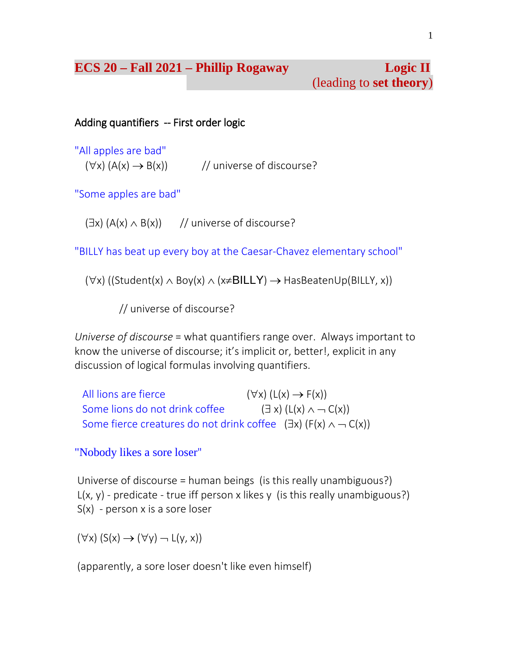## **ECS 20 – Fall 2021 – Phillip Rogaway Logic II**

## Adding quantifiers -- First order logic

"All apples are bad"  $(\forall x)$  (A(x)  $\rightarrow$  B(x)) // universe of discourse?

"Some apples are bad"

 $(\exists x)$  (A(x)  $\land$  B(x)) // universe of discourse?

"BILLY has beat up every boy at the Caesar-Chavez elementary school"

 $(\forall x)$  ((Student(x)  $\land$  Boy(x)  $\land$  (x $\neq$ BILLY)  $\rightarrow$  HasBeatenUp(BILLY, x))

// universe of discourse?

*Universe of discourse* = what quantifiers range over. Always important to know the universe of discourse; it's implicit or, better!, explicit in any discussion of logical formulas involving quantifiers.

All lions are fierce  $(\forall x) (L(x) \rightarrow F(x))$ Some lions do not drink coffee  $(∃ x) (L(x) ∧ ¬ C(x))$ Some fierce creatures do not drink coffee  $(\exists x)$  (F(x)  $\land \neg C(x)$ )

#### "Nobody likes a sore loser"

Universe of discourse = human beings (is this really unambiguous?)  $L(x, y)$  - predicate - true iff person x likes y (is this really unambiguous?) S(x) - person x is a sore loser

 $(\forall x)$   $(S(x) \rightarrow (\forall y) \rightarrow L(y, x))$ 

(apparently, a sore loser doesn't like even himself)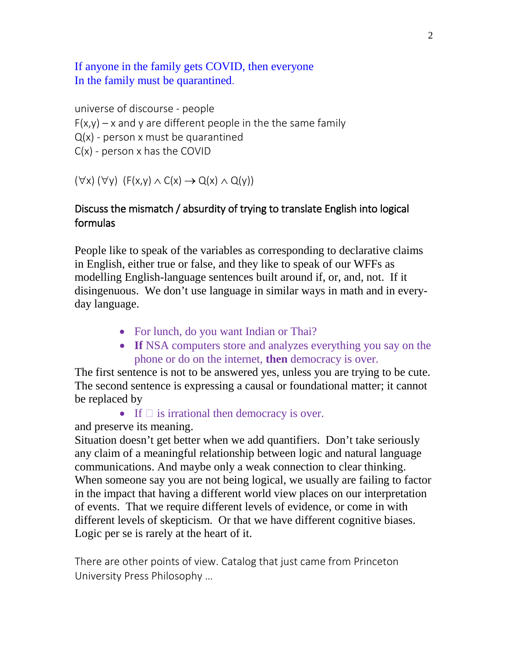## If anyone in the family gets COVID, then everyone In the family must be quarantined.

#### universe of discourse - people

 $F(x,y) - x$  and y are different people in the the same family

 $Q(x)$  - person x must be quarantined

C(x) - person x has the COVID

## $(\forall x) (\forall y) (F(x,y) \wedge C(x) \rightarrow Q(x) \wedge Q(y))$

# Discuss the mismatch / absurdity of trying to translate English into logical formulas

People like to speak of the variables as corresponding to declarative claims in English, either true or false, and they like to speak of our WFFs as modelling English-language sentences built around if, or, and, not. If it disingenuous. We don't use language in similar ways in math and in everyday language.

- For lunch, do you want Indian or Thai?
- If NSA computers store and analyzes everything you say on the phone or do on the internet, **then** democracy is over.

The first sentence is not to be answered yes, unless you are trying to be cute. The second sentence is expressing a causal or foundational matter; it cannot be replaced by

## • If  $\square$  is irrational then democracy is over.

and preserve its meaning.

Situation doesn't get better when we add quantifiers. Don't take seriously any claim of a meaningful relationship between logic and natural language communications. And maybe only a weak connection to clear thinking. When someone say you are not being logical, we usually are failing to factor in the impact that having a different world view places on our interpretation of events. That we require different levels of evidence, or come in with different levels of skepticism. Or that we have different cognitive biases. Logic per se is rarely at the heart of it.

There are other points of view. Catalog that just came from Princeton University Press Philosophy …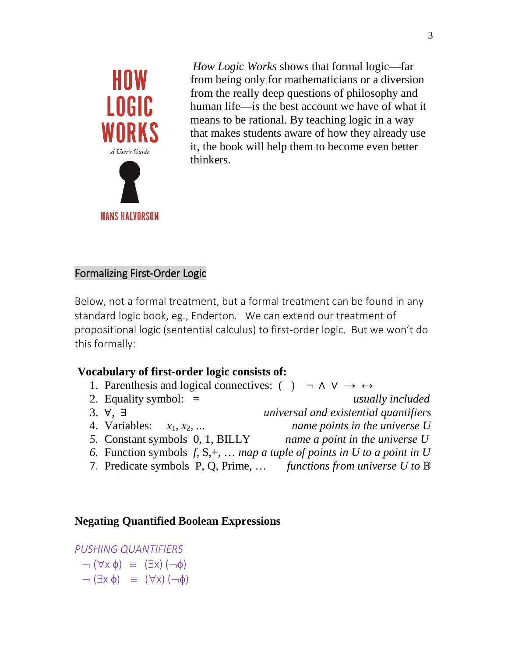

*How Logic Works* shows that formal logic—far from being only for mathematicians or a diversion from the really deep questions of philosophy and human life—is the best account we have of what it means to be rational. By teaching logic in a way that makes students aware of how they already use it, the book will help them to become even better thinkers.

### Formalizing First-Order Logic

Below, not a formal treatment, but a formal treatment can be found in any standard logic book, eg., Enderton. We can extend our treatment of propositional logic (sentential calculus) to first-order logic. But we won't do this formally:

#### **Vocabulary of first-order logic consists of:**

- 
- 1. Parenthesis and logical connectives: ( )  $\neg \wedge \vee \rightarrow \leftrightarrow$ <br>2. Equality symbol: = usually included 2. Equality symbol:  $=$ 3. ∀, ∃ *universal and existential quantifiers*  $x_1, x_2, ...$  *name points in the universe U*
- *5.* Constant symbols 0, 1, BILLY *name a point in the universe U*
- *6.* Function symbols *f*, S,+, … *map a tuple of points in U to a point in U*
- 7. Predicate symbols P, Q, Prime, … *functions from universe U to*

## **Negating Quantified Boolean Expressions**

*PUSHING QUANTIFIERS*  $\neg$   $(\forall x \phi) \equiv (\exists x) (\neg \phi)$  $\neg (\exists x \phi) \equiv (\forall x) (\neg \phi)$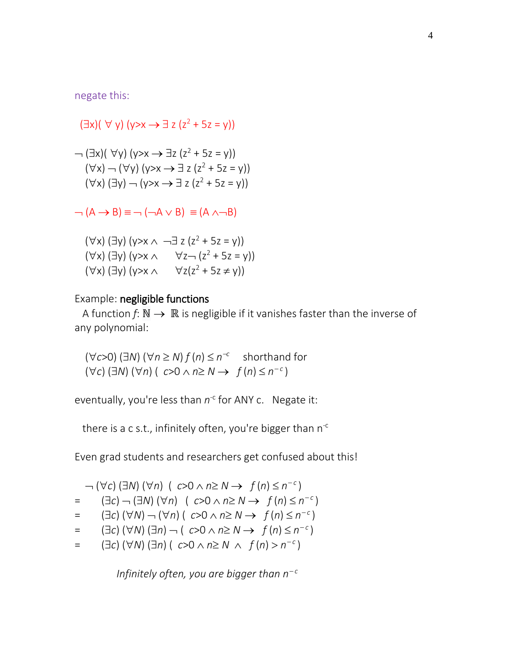negate this:

 $(\exists x)( \forall v)(v \rightarrow x \rightarrow \exists z (z^2 + 5z = v))$ 

 $\rightarrow$  ( $\exists$ x)( $\forall$ y) (y>x  $\rightarrow$   $\exists$ z (z<sup>2</sup> + 5z = y))  $(\forall x)$   $\neg$   $(\forall y)$   $(y \rightarrow x \rightarrow \exists z (z^2 + 5z = y))$  $(\forall x)(\exists y) \neg (y \rightarrow x \rightarrow \exists z (z^2 + 5z = y))$ 

 $\neg (A \rightarrow B) \equiv \neg (\neg A \vee B) \equiv (A \wedge \neg B)$ 

 $(\forall x)$  ( $\exists y$ ) ( $y \rightarrow x \land \neg \exists z$  ( $z^2 + 5z = y$ ))  $(\forall x)$  ( $\exists y$ ) ( $y \rightarrow x \land \forall z \rightarrow (z^2 + 5z = y)$ )  $(\forall x)(\exists y)(y \rightarrow x \land \forall z(z^2 + 5z \neq y))$ 

#### Example: negligible functions

 A function *f*: ℕ → ℝ is negligible if it vanishes faster than the inverse of any polynomial:

 (∀*c*>0) (∃*N*) (∀*n* ≥ *N*) *f* (*n*) ≤ *n*−*<sup>c</sup>*shorthand for (∀*c*) (∃*N*) (∀*n*) ( *c*>0 ∧ *n*≥ *N* → *f* (*n*) ≤ *n*<sup>−</sup> *<sup>c</sup>*)

eventually, you're less than  $n^{-c}$  for ANY c. Negate it:

there is a c s.t., infinitely often, you're bigger than  $n^{-c}$ 

Even grad students and researchers get confused about this!

$$
\neg (\forall c) (\exists N) (\forall n) (c > 0 \land n \geq N \rightarrow f(n) \leq n^{-c})
$$
\n
$$
= (\exists c) \neg (\exists N) (\forall n) (c > 0 \land n \geq N \rightarrow f(n) \leq n^{-c})
$$
\n
$$
= (\exists c) (\forall N) \neg (\forall n) (c > 0 \land n \geq N \rightarrow f(n) \leq n^{-c})
$$
\n
$$
= (\exists c) (\forall N) (\exists n) \neg (c > 0 \land n \geq N \rightarrow f(n) \leq n^{-c})
$$
\n
$$
= (\exists c) (\forall N) (\exists n) (c > 0 \land n \geq N \land f(n) > n^{-c})
$$

*Infinitely often, you are bigger than*  $n^{-c}$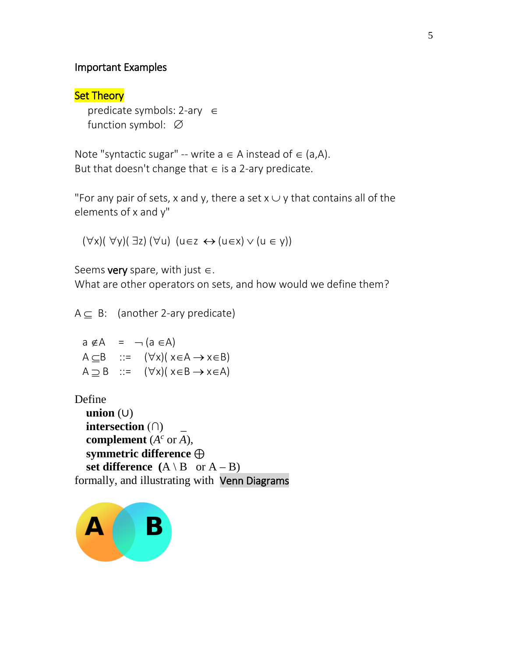### Important Examples

#### **Set Theory**

 predicate symbols: 2-ary ∈ function symbol: ∅

Note "syntactic sugar" -- write  $a \in A$  instead of  $\in$  (a,A). But that doesn't change that  $\epsilon$  is a 2-ary predicate.

"For any pair of sets, x and y, there a set  $x \cup y$  that contains all of the elements of x and y"

 $(\forall x)(\forall y)(\exists z)(\forall u)$  (u∈z ↔ (u∈x)  $\vee$  (u ∈ y))

Seems very spare, with just  $\in$ . What are other operators on sets, and how would we define them?

 $A \subseteq B$ : (another 2-ary predicate)

|  | $a \notin A = \neg (a \in A)$                                  |
|--|----------------------------------------------------------------|
|  | $A \subseteq B$ ::= $(\forall x)(x \in A \rightarrow x \in B)$ |
|  | $A \supseteq B$ ::= $(\forall x)(x \in B \rightarrow x \in A)$ |

Define

 **union** (∪) **intersection** (∩) \_ **complement**  $(A^c$  or  $A)$ , **symmetric difference** ⊕ **set difference**  $(A \setminus B$  or  $A - B)$ formally, and illustrating with Venn Diagrams